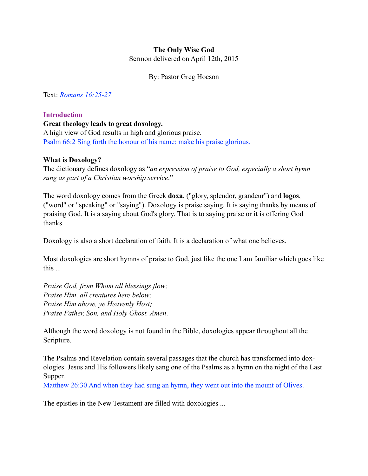## **The Only Wise God**

Sermon delivered on April 12th, 2015

By: Pastor Greg Hocson

Text: *Romans 16:25-27*

## **Introduction**

## **Great theology leads to great doxology.**

A high view of God results in high and glorious praise. Psalm 66:2 Sing forth the honour of his name: make his praise glorious.

## **What is Doxology?**

The dictionary defines doxology as "*an expression of praise to God, especially a short hymn sung as part of a Christian worship service*."

The word doxology comes from the Greek **doxa**, ("glory, splendor, grandeur") and **logos**, ("word" or "speaking" or "saying"). Doxology is praise saying. It is saying thanks by means of praising God. It is a saying about God's glory. That is to saying praise or it is offering God thanks.

Doxology is also a short declaration of faith. It is a declaration of what one believes.

Most doxologies are short hymns of praise to God, just like the one I am familiar which goes like this ...

*Praise God, from Whom all blessings flow; Praise Him, all creatures here below; Praise Him above, ye Heavenly Host; Praise Father, Son, and Holy Ghost. Amen*.

Although the word doxology is not found in the Bible, doxologies appear throughout all the Scripture.

The Psalms and Revelation contain several passages that the church has transformed into doxologies. Jesus and His followers likely sang one of the Psalms as a hymn on the night of the Last Supper.

Matthew 26:30 And when they had sung an hymn, they went out into the mount of Olives.

The epistles in the New Testament are filled with doxologies ...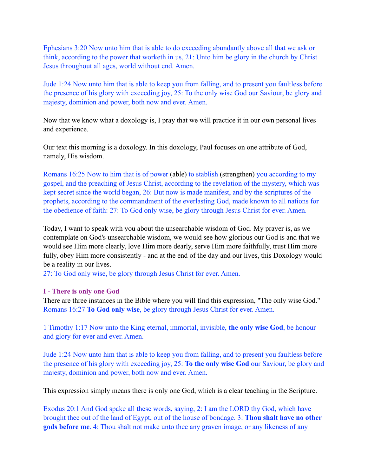Ephesians 3:20 Now unto him that is able to do exceeding abundantly above all that we ask or think, according to the power that worketh in us, 21: Unto him be glory in the church by Christ Jesus throughout all ages, world without end. Amen.

Jude 1:24 Now unto him that is able to keep you from falling, and to present you faultless before the presence of his glory with exceeding joy, 25: To the only wise God our Saviour, be glory and majesty, dominion and power, both now and ever. Amen.

Now that we know what a doxology is, I pray that we will practice it in our own personal lives and experience.

Our text this morning is a doxology. In this doxology, Paul focuses on one attribute of God, namely, His wisdom.

Romans 16:25 Now to him that is of power (able) to stablish (strengthen) you according to my gospel, and the preaching of Jesus Christ, according to the revelation of the mystery, which was kept secret since the world began, 26: But now is made manifest, and by the scriptures of the prophets, according to the commandment of the everlasting God, made known to all nations for the obedience of faith: 27: To God only wise, be glory through Jesus Christ for ever. Amen.

Today, I want to speak with you about the unsearchable wisdom of God. My prayer is, as we contemplate on God's unsearchable wisdom, we would see how glorious our God is and that we would see Him more clearly, love Him more dearly, serve Him more faithfully, trust Him more fully, obey Him more consistently - and at the end of the day and our lives, this Doxology would be a reality in our lives.

27: To God only wise, be glory through Jesus Christ for ever. Amen.

#### **I - There is only one God**

There are three instances in the Bible where you will find this expression, "The only wise God." Romans 16:27 **To God only wise**, be glory through Jesus Christ for ever. Amen.

1 Timothy 1:17 Now unto the King eternal, immortal, invisible, **the only wise God**, be honour and glory for ever and ever. Amen.

Jude 1:24 Now unto him that is able to keep you from falling, and to present you faultless before the presence of his glory with exceeding joy, 25: **To the only wise God** our Saviour, be glory and majesty, dominion and power, both now and ever. Amen.

This expression simply means there is only one God, which is a clear teaching in the Scripture.

Exodus 20:1 And God spake all these words, saying, 2: I am the LORD thy God, which have brought thee out of the land of Egypt, out of the house of bondage. 3: **Thou shalt have no other gods before me**. 4: Thou shalt not make unto thee any graven image, or any likeness of any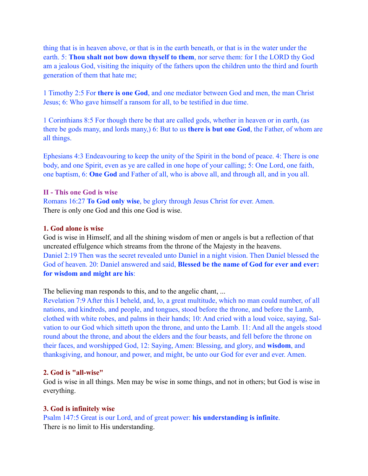thing that is in heaven above, or that is in the earth beneath, or that is in the water under the earth. 5: **Thou shalt not bow down thyself to them**, nor serve them: for I the LORD thy God am a jealous God, visiting the iniquity of the fathers upon the children unto the third and fourth generation of them that hate me;

1 Timothy 2:5 For **there is one God**, and one mediator between God and men, the man Christ Jesus; 6: Who gave himself a ransom for all, to be testified in due time.

1 Corinthians 8:5 For though there be that are called gods, whether in heaven or in earth, (as there be gods many, and lords many,) 6: But to us **there is but one God**, the Father, of whom are all things.

Ephesians 4:3 Endeavouring to keep the unity of the Spirit in the bond of peace. 4: There is one body, and one Spirit, even as ye are called in one hope of your calling; 5: One Lord, one faith, one baptism, 6: **One God** and Father of all, who is above all, and through all, and in you all.

#### **II - This one God is wise**

Romans 16:27 **To God only wise**, be glory through Jesus Christ for ever. Amen. There is only one God and this one God is wise.

#### **1. God alone is wise**

God is wise in Himself, and all the shining wisdom of men or angels is but a reflection of that uncreated effulgence which streams from the throne of the Majesty in the heavens. Daniel 2:19 Then was the secret revealed unto Daniel in a night vision. Then Daniel blessed the God of heaven. 20: Daniel answered and said, **Blessed be the name of God for ever and ever: for wisdom and might are his**:

The believing man responds to this, and to the angelic chant, ...

Revelation 7:9 After this I beheld, and, lo, a great multitude, which no man could number, of all nations, and kindreds, and people, and tongues, stood before the throne, and before the Lamb, clothed with white robes, and palms in their hands; 10: And cried with a loud voice, saying, Salvation to our God which sitteth upon the throne, and unto the Lamb. 11: And all the angels stood round about the throne, and about the elders and the four beasts, and fell before the throne on their faces, and worshipped God, 12: Saying, Amen: Blessing, and glory, and **wisdom**, and thanksgiving, and honour, and power, and might, be unto our God for ever and ever. Amen.

#### **2. God is "all-wise"**

God is wise in all things. Men may be wise in some things, and not in others; but God is wise in everything.

#### **3. God is infinitely wise**

Psalm 147:5 Great is our Lord, and of great power: **his understanding is infinite**. There is no limit to His understanding.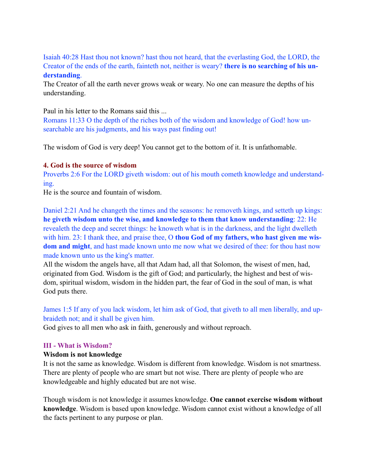Isaiah 40:28 Hast thou not known? hast thou not heard, that the everlasting God, the LORD, the Creator of the ends of the earth, fainteth not, neither is weary? **there is no searching of his understanding**.

The Creator of all the earth never grows weak or weary. No one can measure the depths of his understanding.

Paul in his letter to the Romans said this ...

Romans 11:33 O the depth of the riches both of the wisdom and knowledge of God! how unsearchable are his judgments, and his ways past finding out!

The wisdom of God is very deep! You cannot get to the bottom of it. It is unfathomable.

## **4. God is the source of wisdom**

Proverbs 2:6 For the LORD giveth wisdom: out of his mouth cometh knowledge and understanding.

He is the source and fountain of wisdom.

Daniel 2:21 And he changeth the times and the seasons: he removeth kings, and setteth up kings: **he giveth wisdom unto the wise, and knowledge to them that know understanding**: 22: He revealeth the deep and secret things: he knoweth what is in the darkness, and the light dwelleth with him. 23: I thank thee, and praise thee, O **thou God of my fathers, who hast given me wisdom and might**, and hast made known unto me now what we desired of thee: for thou hast now made known unto us the king's matter.

All the wisdom the angels have, all that Adam had, all that Solomon, the wisest of men, had, originated from God. Wisdom is the gift of God; and particularly, the highest and best of wisdom, spiritual wisdom, wisdom in the hidden part, the fear of God in the soul of man, is what God puts there.

James 1:5 If any of you lack wisdom, let him ask of God, that giveth to all men liberally, and upbraideth not; and it shall be given him.

God gives to all men who ask in faith, generously and without reproach.

## **III - What is Wisdom?**

## **Wisdom is not knowledge**

It is not the same as knowledge. Wisdom is different from knowledge. Wisdom is not smartness. There are plenty of people who are smart but not wise. There are plenty of people who are knowledgeable and highly educated but are not wise.

Though wisdom is not knowledge it assumes knowledge. **One cannot exercise wisdom without knowledge**. Wisdom is based upon knowledge. Wisdom cannot exist without a knowledge of all the facts pertinent to any purpose or plan.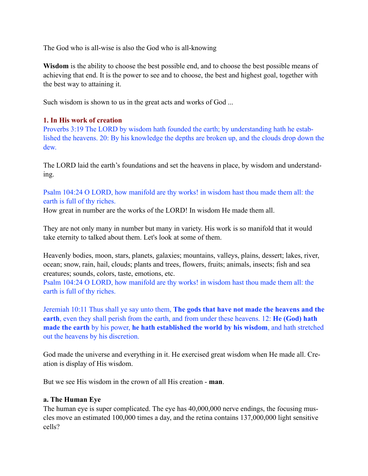The God who is all-wise is also the God who is all-knowing

**Wisdom** is the ability to choose the best possible end, and to choose the best possible means of achieving that end. It is the power to see and to choose, the best and highest goal, together with the best way to attaining it.

Such wisdom is shown to us in the great acts and works of God ...

# **1. In His work of creation**

Proverbs 3:19 The LORD by wisdom hath founded the earth; by understanding hath he established the heavens. 20: By his knowledge the depths are broken up, and the clouds drop down the dew.

The LORD laid the earth's foundations and set the heavens in place, by wisdom and understanding.

Psalm 104:24 O LORD, how manifold are thy works! in wisdom hast thou made them all: the earth is full of thy riches.

How great in number are the works of the LORD! In wisdom He made them all.

They are not only many in number but many in variety. His work is so manifold that it would take eternity to talked about them. Let's look at some of them.

Heavenly bodies, moon, stars, planets, galaxies; mountains, valleys, plains, dessert; lakes, river, ocean; snow, rain, hail, clouds; plants and trees, flowers, fruits; animals, insects; fish and sea creatures; sounds, colors, taste, emotions, etc.

Psalm 104:24 O LORD, how manifold are thy works! in wisdom hast thou made them all: the earth is full of thy riches.

Jeremiah 10:11 Thus shall ye say unto them, **The gods that have not made the heavens and the earth**, even they shall perish from the earth, and from under these heavens. 12: **He (God) hath made the earth** by his power, **he hath established the world by his wisdom**, and hath stretched out the heavens by his discretion.

God made the universe and everything in it. He exercised great wisdom when He made all. Creation is display of His wisdom.

But we see His wisdom in the crown of all His creation - **man**.

# **a. The Human Eye**

The human eye is super complicated. The eye has 40,000,000 nerve endings, the focusing muscles move an estimated 100,000 times a day, and the retina contains 137,000,000 light sensitive cells?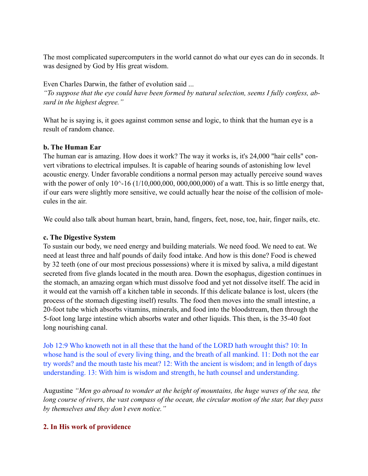The most complicated supercomputers in the world cannot do what our eyes can do in seconds. It was designed by God by His great wisdom.

Even Charles Darwin, the father of evolution said ... *"To suppose that the eye could have been formed by natural selection, seems I fully confess, absurd in the highest degree."* 

What he is saying is, it goes against common sense and logic, to think that the human eye is a result of random chance.

## **b. The Human Ear**

The human ear is amazing. How does it work? The way it works is, it's 24,000 "hair cells" convert vibrations to electrical impulses. It is capable of hearing sounds of astonishing low level acoustic energy. Under favorable conditions a normal person may actually perceive sound waves with the power of only  $10^{\wedge}$ -16 ( $1/10,000,000,000,000,000$ ) of a watt. This is so little energy that, if our ears were slightly more sensitive, we could actually hear the noise of the collision of molecules in the air.

We could also talk about human heart, brain, hand, fingers, feet, nose, toe, hair, finger nails, etc.

## **c. The Digestive System**

To sustain our body, we need energy and building materials. We need food. We need to eat. We need at least three and half pounds of daily food intake. And how is this done? Food is chewed by 32 teeth (one of our most precious possessions) where it is mixed by saliva, a mild digestant secreted from five glands located in the mouth area. Down the esophagus, digestion continues in the stomach, an amazing organ which must dissolve food and yet not dissolve itself. The acid in it would eat the varnish off a kitchen table in seconds. If this delicate balance is lost, ulcers (the process of the stomach digesting itself) results. The food then moves into the small intestine, a 20-foot tube which absorbs vitamins, minerals, and food into the bloodstream, then through the 5-foot long large intestine which absorbs water and other liquids. This then, is the 35-40 foot long nourishing canal.

Job 12:9 Who knoweth not in all these that the hand of the LORD hath wrought this? 10: In whose hand is the soul of every living thing, and the breath of all mankind. 11: Doth not the ear try words? and the mouth taste his meat? 12: With the ancient is wisdom; and in length of days understanding. 13: With him is wisdom and strength, he hath counsel and understanding.

Augustine *"Men go abroad to wonder at the height of mountains, the huge waves of the sea, the long course of rivers, the vast compass of the ocean, the circular motion of the star, but they pass by themselves and they don't even notice."*

## **2. In His work of providence**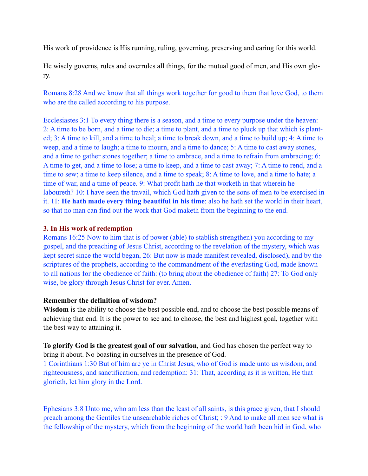His work of providence is His running, ruling, governing, preserving and caring for this world.

He wisely governs, rules and overrules all things, for the mutual good of men, and His own glory.

Romans 8:28 And we know that all things work together for good to them that love God, to them who are the called according to his purpose.

Ecclesiastes 3:1 To every thing there is a season, and a time to every purpose under the heaven: 2: A time to be born, and a time to die; a time to plant, and a time to pluck up that which is planted; 3: A time to kill, and a time to heal; a time to break down, and a time to build up; 4: A time to weep, and a time to laugh; a time to mourn, and a time to dance; 5: A time to cast away stones, and a time to gather stones together; a time to embrace, and a time to refrain from embracing; 6: A time to get, and a time to lose; a time to keep, and a time to cast away; 7: A time to rend, and a time to sew; a time to keep silence, and a time to speak; 8: A time to love, and a time to hate; a time of war, and a time of peace. 9: What profit hath he that worketh in that wherein he laboureth? 10: I have seen the travail, which God hath given to the sons of men to be exercised in it. 11: **He hath made every thing beautiful in his time**: also he hath set the world in their heart, so that no man can find out the work that God maketh from the beginning to the end.

### **3. In His work of redemption**

Romans 16:25 Now to him that is of power (able) to stablish strengthen) you according to my gospel, and the preaching of Jesus Christ, according to the revelation of the mystery, which was kept secret since the world began, 26: But now is made manifest revealed, disclosed), and by the scriptures of the prophets, according to the commandment of the everlasting God, made known to all nations for the obedience of faith: (to bring about the obedience of faith) 27: To God only wise, be glory through Jesus Christ for ever. Amen.

#### **Remember the definition of wisdom?**

**Wisdom** is the ability to choose the best possible end, and to choose the best possible means of achieving that end. It is the power to see and to choose, the best and highest goal, together with the best way to attaining it.

**To glorify God is the greatest goal of our salvation**, and God has chosen the perfect way to bring it about. No boasting in ourselves in the presence of God.

1 Corinthians 1:30 But of him are ye in Christ Jesus, who of God is made unto us wisdom, and righteousness, and sanctification, and redemption: 31: That, according as it is written, He that glorieth, let him glory in the Lord.

Ephesians 3:8 Unto me, who am less than the least of all saints, is this grace given, that I should preach among the Gentiles the unsearchable riches of Christ; : 9 And to make all men see what is the fellowship of the mystery, which from the beginning of the world hath been hid in God, who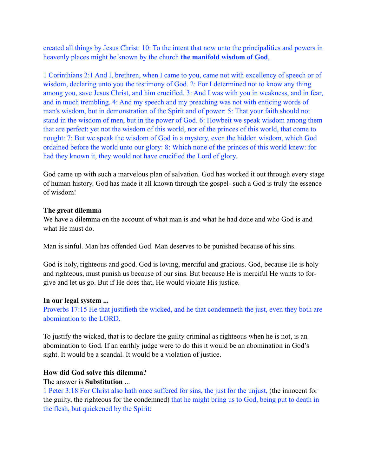created all things by Jesus Christ: 10: To the intent that now unto the principalities and powers in heavenly places might be known by the church **the manifold wisdom of God**,

1 Corinthians 2:1 And I, brethren, when I came to you, came not with excellency of speech or of wisdom, declaring unto you the testimony of God. 2: For I determined not to know any thing among you, save Jesus Christ, and him crucified. 3: And I was with you in weakness, and in fear, and in much trembling. 4: And my speech and my preaching was not with enticing words of man's wisdom, but in demonstration of the Spirit and of power: 5: That your faith should not stand in the wisdom of men, but in the power of God. 6: Howbeit we speak wisdom among them that are perfect: yet not the wisdom of this world, nor of the princes of this world, that come to nought: 7: But we speak the wisdom of God in a mystery, even the hidden wisdom, which God ordained before the world unto our glory: 8: Which none of the princes of this world knew: for had they known it, they would not have crucified the Lord of glory.

God came up with such a marvelous plan of salvation. God has worked it out through every stage of human history. God has made it all known through the gospel- such a God is truly the essence of wisdom!

## **The great dilemma**

We have a dilemma on the account of what man is and what he had done and who God is and what He must do.

Man is sinful. Man has offended God. Man deserves to be punished because of his sins.

God is holy, righteous and good. God is loving, merciful and gracious. God, because He is holy and righteous, must punish us because of our sins. But because He is merciful He wants to forgive and let us go. But if He does that, He would violate His justice.

## **In our legal system ...**

Proverbs 17:15 He that justifieth the wicked, and he that condemneth the just, even they both are abomination to the LORD.

To justify the wicked, that is to declare the guilty criminal as righteous when he is not, is an abomination to God. If an earthly judge were to do this it would be an abomination in God's sight. It would be a scandal. It would be a violation of justice.

## **How did God solve this dilemma?**

### The answer is **Substitution** ...

1 Peter 3:18 For Christ also hath once suffered for sins, the just for the unjust, (the innocent for the guilty, the righteous for the condemned) that he might bring us to God, being put to death in the flesh, but quickened by the Spirit: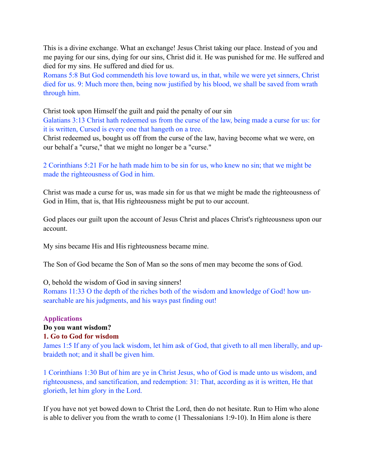This is a divine exchange. What an exchange! Jesus Christ taking our place. Instead of you and me paying for our sins, dying for our sins, Christ did it. He was punished for me. He suffered and died for my sins. He suffered and died for us.

Romans 5:8 But God commendeth his love toward us, in that, while we were yet sinners, Christ died for us. 9: Much more then, being now justified by his blood, we shall be saved from wrath through him.

Christ took upon Himself the guilt and paid the penalty of our sin

Galatians 3:13 Christ hath redeemed us from the curse of the law, being made a curse for us: for it is written, Cursed is every one that hangeth on a tree.

Christ redeemed us, bought us off from the curse of the law, having become what we were, on our behalf a "curse," that we might no longer be a "curse."

2 Corinthians 5:21 For he hath made him to be sin for us, who knew no sin; that we might be made the righteousness of God in him.

Christ was made a curse for us, was made sin for us that we might be made the righteousness of God in Him, that is, that His righteousness might be put to our account.

God places our guilt upon the account of Jesus Christ and places Christ's righteousness upon our account.

My sins became His and His righteousness became mine.

The Son of God became the Son of Man so the sons of men may become the sons of God.

O, behold the wisdom of God in saving sinners!

Romans 11:33 O the depth of the riches both of the wisdom and knowledge of God! how unsearchable are his judgments, and his ways past finding out!

## **Applications**

## **Do you want wisdom?**

#### **1. Go to God for wisdom**

James 1:5 If any of you lack wisdom, let him ask of God, that giveth to all men liberally, and upbraideth not; and it shall be given him.

1 Corinthians 1:30 But of him are ye in Christ Jesus, who of God is made unto us wisdom, and righteousness, and sanctification, and redemption: 31: That, according as it is written, He that glorieth, let him glory in the Lord.

If you have not yet bowed down to Christ the Lord, then do not hesitate. Run to Him who alone is able to deliver you from the wrath to come (1 Thessalonians 1:9-10). In Him alone is there